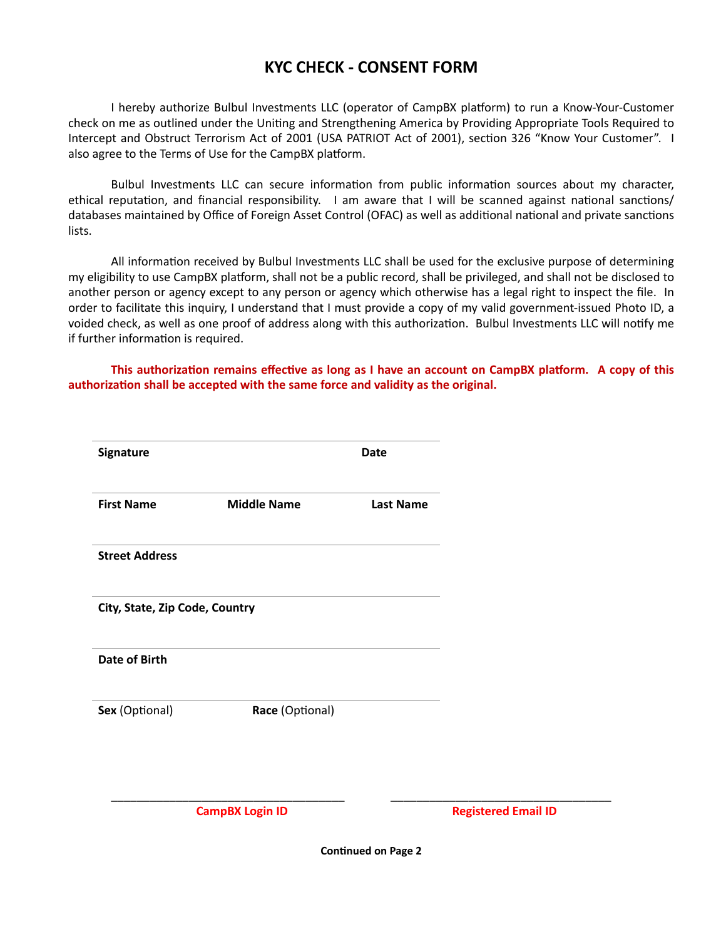## **KYC CHECK - CONSENT FORM**

I hereby authorize Bulbul Investments LLC (operator of CampBX platform) to run a Know-Your-Customer check on me as outlined under the Uniting and Strengthening America by Providing Appropriate Tools Required to Intercept and Obstruct Terrorism Act of 2001 (USA PATRIOT Act of 2001), section 326 "Know Your Customer". I also agree to the Terms of Use for the CampBX platform.

Bulbul Investments LLC can secure information from public information sources about my character, ethical reputation, and financial responsibility. I am aware that I will be scanned against national sanctions/ databases maintained by Office of Foreign Asset Control (OFAC) as well as additional national and private sanctions lists.

All information received by Bulbul Investments LLC shall be used for the exclusive purpose of determining my eligibility to use CampBX platform, shall not be a public record, shall be privileged, and shall not be disclosed to another person or agency except to any person or agency which otherwise has a legal right to inspect the file. In order to facilitate this inquiry, I understand that I must provide a copy of my valid government-issued Photo ID, a voided check, as well as one proof of address along with this authorization. Bulbul Investments LLC will notify me if further information is required.

**This authorization remains effective as long as I have an account on CampBX platform. A copy of this authorization shall be accepted with the same force and validity as the original.**

| <b>Signature</b>               |                    | <b>Date</b>      |
|--------------------------------|--------------------|------------------|
| <b>First Name</b>              | <b>Middle Name</b> | <b>Last Name</b> |
| <b>Street Address</b>          |                    |                  |
| City, State, Zip Code, Country |                    |                  |
| <b>Date of Birth</b>           |                    |                  |
| Sex (Optional)                 | Race (Optional)    |                  |
|                                |                    |                  |

\_\_\_\_\_\_\_\_\_\_\_\_\_\_\_\_\_\_\_\_\_\_\_\_\_\_\_\_\_\_\_\_\_\_\_\_ \_\_\_\_\_\_\_\_\_\_\_\_\_\_\_\_\_\_\_\_\_\_\_\_\_\_\_\_\_\_\_\_\_\_ **CampBX Login ID Registered Email ID**